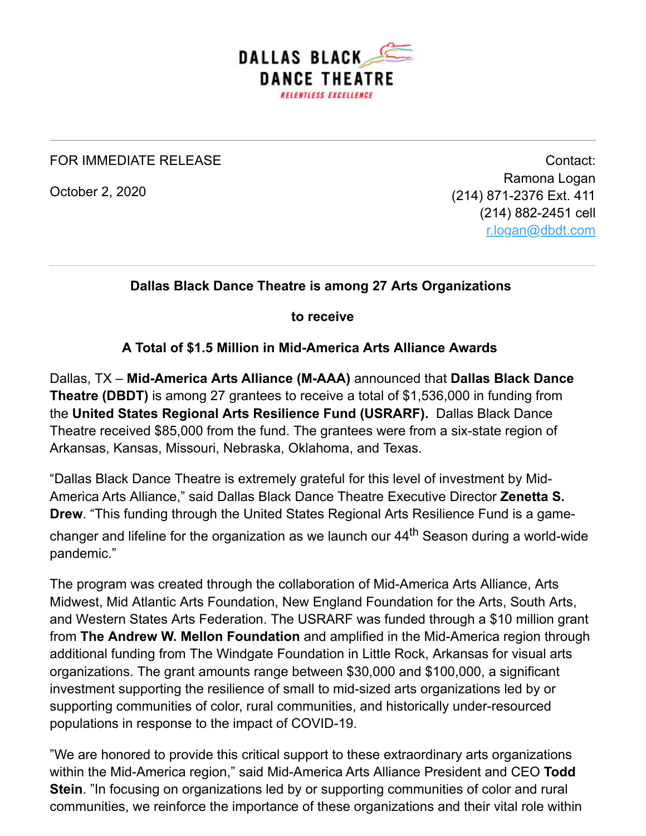

#### FOR IMMEDIATE RELEASE

October 2, 2020

Contact: Ramona Logan (214) 871-2376 Ext. 411 (214) 882-2451 cell [r.logan@dbdt.com](mailto:r.logan@dbdt.com)

## **Dallas Black Dance Theatre is among 27 Arts Organizations**

**to receive**

#### **A Total of \$1.5 Million in Mid-America Arts Alliance Awards**

Dallas, TX – **Mid-America Arts Alliance (M-AAA)** announced that **Dallas Black Dance Theatre (DBDT)** is among 27 grantees to receive a total of \$1,536,000 in funding from the **United States Regional Arts Resilience Fund (USRARF).** Dallas Black Dance Theatre received \$85,000 from the fund. The grantees were from a six-state region of Arkansas, Kansas, Missouri, Nebraska, Oklahoma, and Texas.

"Dallas Black Dance Theatre is extremely grateful for this level of investment by Mid-America Arts Alliance," said Dallas Black Dance Theatre Executive Director **Zenetta S. Drew**. "This funding through the United States Regional Arts Resilience Fund is a gamechanger and lifeline for the organization as we launch our 44<sup>th</sup> Season during a world-wide pandemic."

The program was created through the collaboration of Mid-America Arts Alliance, Arts Midwest, Mid Atlantic Arts Foundation, New England Foundation for the Arts, South Arts, and Western States Arts Federation. The USRARF was funded through a \$10 million grant from **The Andrew W. Mellon Foundation** and amplified in the Mid-America region through additional funding from The Windgate Foundation in Little Rock, Arkansas for visual arts organizations. The grant amounts range between \$30,000 and \$100,000, a significant investment supporting the resilience of small to mid-sized arts organizations led by or supporting communities of color, rural communities, and historically under-resourced populations in response to the impact of COVID-19.

"We are honored to provide this critical support to these extraordinary arts organizations within the Mid-America region," said Mid-America Arts Alliance President and CEO **Todd Stein**. "In focusing on organizations led by or supporting communities of color and rural communities, we reinforce the importance of these organizations and their vital role within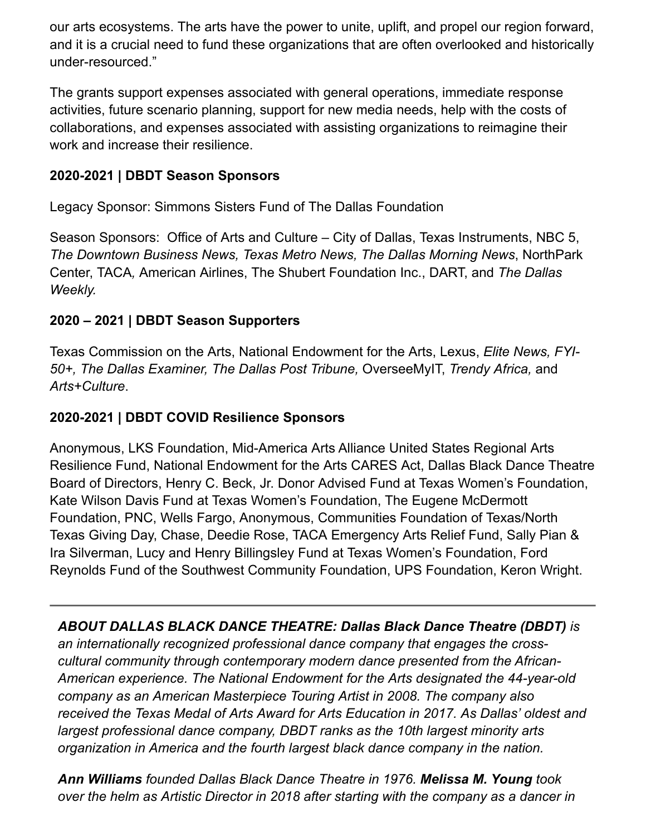our arts ecosystems. The arts have the power to unite, uplift, and propel our region forward, and it is a crucial need to fund these organizations that are often overlooked and historically under-resourced."

The grants support expenses associated with general operations, immediate response activities, future scenario planning, support for new media needs, help with the costs of collaborations, and expenses associated with assisting organizations to reimagine their work and increase their resilience.

# **2020-2021 | DBDT Season Sponsors**

Legacy Sponsor: Simmons Sisters Fund of The Dallas Foundation

Season Sponsors: Office of Arts and Culture – City of Dallas, Texas Instruments, NBC 5, *The Downtown Business News, Texas Metro News, The Dallas Morning News*, NorthPark Center, TACA*,* American Airlines, The Shubert Foundation Inc., DART, and *The Dallas Weekly.*

# **2020 – 2021 | DBDT Season Supporters**

Texas Commission on the Arts, National Endowment for the Arts, Lexus, *Elite News, FYI-50+, The Dallas Examiner, The Dallas Post Tribune,* OverseeMyIT, *Trendy Africa,* and *Arts+Culture*.

## **2020-2021 | DBDT COVID Resilience Sponsors**

Anonymous, LKS Foundation, Mid-America Arts Alliance United States Regional Arts Resilience Fund, National Endowment for the Arts CARES Act, Dallas Black Dance Theatre Board of Directors, Henry C. Beck, Jr. Donor Advised Fund at Texas Women's Foundation, Kate Wilson Davis Fund at Texas Women's Foundation, The Eugene McDermott Foundation, PNC, Wells Fargo, Anonymous, Communities Foundation of Texas/North Texas Giving Day, Chase, Deedie Rose, TACA Emergency Arts Relief Fund, Sally Pian & Ira Silverman, Lucy and Henry Billingsley Fund at Texas Women's Foundation, Ford Reynolds Fund of the Southwest Community Foundation, UPS Foundation, Keron Wright.

*ABOUT DALLAS BLACK DANCE THEATRE: Dallas Black Dance Theatre (DBDT) is an internationally recognized professional dance company that engages the crosscultural community through contemporary modern dance presented from the African-American experience. The National Endowment for the Arts designated the 44-year-old company as an American Masterpiece Touring Artist in 2008. The company also received the Texas Medal of Arts Award for Arts Education in 2017. As Dallas' oldest and largest professional dance company, DBDT ranks as the 10th largest minority arts organization in America and the fourth largest black dance company in the nation.* 

*Ann Williams founded Dallas Black Dance Theatre in 1976. Melissa M. Young took over the helm as Artistic Director in 2018 after starting with the company as a dancer in*